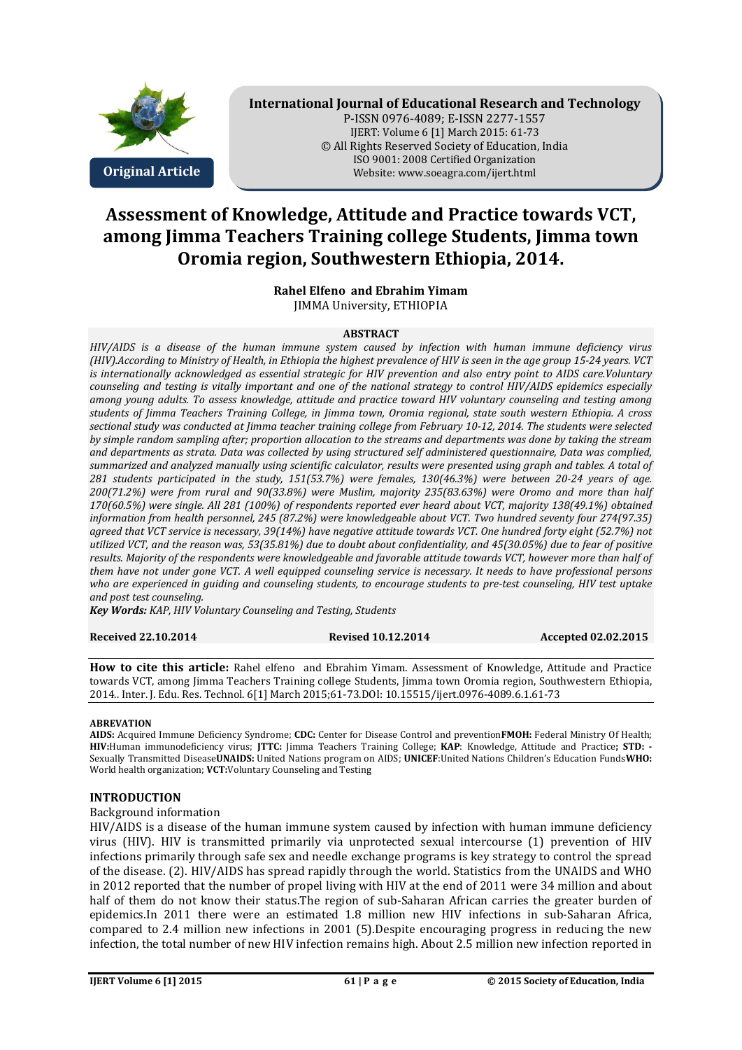

# **International Journal of Educational Research and Technology**

P-ISSN 0976-4089; E-ISSN 2277-1557 IJERT: Volume 6 [1] March 2015: 61-73 © All Rights Reserved Society of Education, India ISO 9001: 2008 Certified Organization **Original Article** Website: www.soeagra.com/ijert.html

# **Assessment of Knowledge, Attitude and Practice towards VCT, among Jimma Teachers Training college Students, Jimma town Oromia region, Southwestern Ethiopia, 2014.**

**Rahel Elfeno and Ebrahim Yimam**  JIMMA University, ETHIOPIA

#### **ABSTRACT**

*HIV/AIDS is a disease of the human immune system caused by infection with human immune deficiency virus (HIV).According to Ministry of Health, in Ethiopia the highest prevalence of HIV is seen in the age group 15-24 years. VCT is internationally acknowledged as essential strategic for HIV prevention and also entry point to AIDS care.Voluntary counseling and testing is vitally important and one of the national strategy to control HIV/AIDS epidemics especially among young adults. To assess knowledge, attitude and practice toward HIV voluntary counseling and testing among students of Jimma Teachers Training College, in Jimma town, Oromia regional, state south western Ethiopia. A cross sectional study was conducted at Jimma teacher training college from February 10-12, 2014. The students were selected by simple random sampling after; proportion allocation to the streams and departments was done by taking the stream and departments as strata. Data was collected by using structured self administered questionnaire, Data was complied, summarized and analyzed manually using scientific calculator, results were presented using graph and tables. A total of 281 students participated in the study, 151(53.7%) were females, 130(46.3%) were between 20-24 years of age. 200(71.2%) were from rural and 90(33.8%) were Muslim, majority 235(83.63%) were Oromo and more than half 170(60.5%) were single. All 281 (100%) of respondents reported ever heard about VCT, majority 138(49.1%) obtained information from health personnel, 245 (87.2%) were knowledgeable about VCT. Two hundred seventy four 274(97.35) agreed that VCT service is necessary, 39(14%) have negative attitude towards VCT. One hundred forty eight (52.7%) not utilized VCT, and the reason was, 53(35.81%) due to doubt about confidentiality, and 45(30.05%) due to fear of positive results. Majority of the respondents were knowledgeable and favorable attitude towards VCT, however more than half of them have not under gone VCT. A well equipped counseling service is necessary. It needs to have professional persons who are experienced in guiding and counseling students, to encourage students to pre-test counseling, HIV test uptake and post test counseling.* 

*Key Words: KAP, HIV Voluntary Counseling and Testing, Students*

**Received 22.10.2014 Revised 10.12.2014 Accepted 02.02.2015** 

**How to cite this article:** Rahel elfeno and Ebrahim Yimam. Assessment of Knowledge, Attitude and Practice towards VCT, among Jimma Teachers Training college Students, Jimma town Oromia region, Southwestern Ethiopia, 2014.. Inter. J. Edu. Res. Technol. 6[1] March 2015;61-73.DOI: 10.15515/ijert.0976-4089.6.1.61-73

#### **ABREVATION**

**AIDS:** Acquired Immune Deficiency Syndrome; **CDC:** Center for Disease Control and prevention**FMOH:** Federal Ministry Of Health; **HIV:**Human immunodeficiency virus; **JTTC:** Jimma Teachers Training College; **KAP**: Knowledge, Attitude and Practice**; STD: -** Sexually Transmitted Disease**UNAIDS:** United Nations program on AIDS; **UNICEF**:United Nations Children's Education Funds**WHO:** World health organization; **VCT:**Voluntary Counseling and Testing

#### **INTRODUCTION**

#### Background information

HIV/AIDS is a disease of the human immune system caused by infection with human immune deficiency virus (HIV). HIV is transmitted primarily via unprotected sexual intercourse (1) prevention of HIV infections primarily through safe sex and needle exchange programs is key strategy to control the spread of the disease. (2). HIV/AIDS has spread rapidly through the world. Statistics from the UNAIDS and WHO in 2012 reported that the number of propel living with HIV at the end of 2011 were 34 million and about half of them do not know their status.The region of sub-Saharan African carries the greater burden of epidemics.In 2011 there were an estimated 1.8 million new HIV infections in sub-Saharan Africa, compared to 2.4 million new infections in 2001 (5).Despite encouraging progress in reducing the new infection, the total number of new HIV infection remains high. About 2.5 million new infection reported in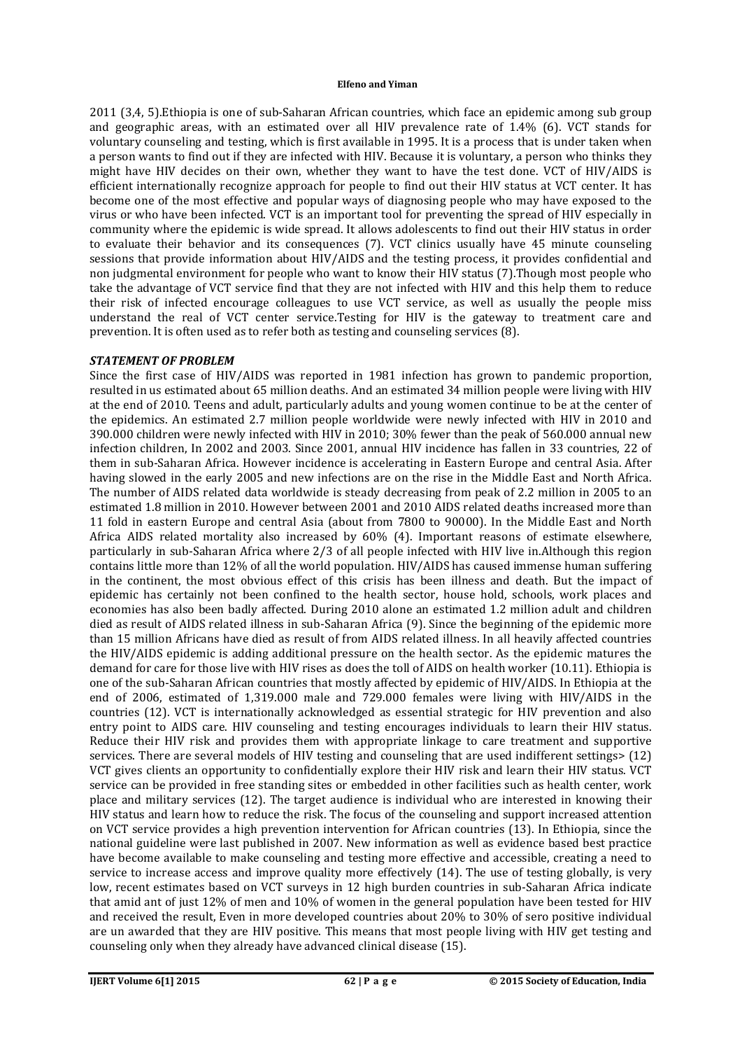2011 (3,4, 5).Ethiopia is one of sub-Saharan African countries, which face an epidemic among sub group and geographic areas, with an estimated over all HIV prevalence rate of 1.4% (6). VCT stands for voluntary counseling and testing, which is first available in 1995. It is a process that is under taken when a person wants to find out if they are infected with HIV. Because it is voluntary, a person who thinks they might have HIV decides on their own, whether they want to have the test done. VCT of HIV/AIDS is efficient internationally recognize approach for people to find out their HIV status at VCT center. It has become one of the most effective and popular ways of diagnosing people who may have exposed to the virus or who have been infected. VCT is an important tool for preventing the spread of HIV especially in community where the epidemic is wide spread. It allows adolescents to find out their HIV status in order to evaluate their behavior and its consequences (7). VCT clinics usually have 45 minute counseling sessions that provide information about HIV/AIDS and the testing process, it provides confidential and non judgmental environment for people who want to know their HIV status (7).Though most people who take the advantage of VCT service find that they are not infected with HIV and this help them to reduce their risk of infected encourage colleagues to use VCT service, as well as usually the people miss understand the real of VCT center service.Testing for HIV is the gateway to treatment care and prevention. It is often used as to refer both as testing and counseling services (8).

#### *STATEMENT OF PROBLEM*

Since the first case of HIV/AIDS was reported in 1981 infection has grown to pandemic proportion, resulted in us estimated about 65 million deaths. And an estimated 34 million people were living with HIV at the end of 2010. Teens and adult, particularly adults and young women continue to be at the center of the epidemics. An estimated 2.7 million people worldwide were newly infected with HIV in 2010 and 390.000 children were newly infected with HIV in 2010; 30% fewer than the peak of 560.000 annual new infection children, In 2002 and 2003. Since 2001, annual HIV incidence has fallen in 33 countries, 22 of them in sub-Saharan Africa. However incidence is accelerating in Eastern Europe and central Asia. After having slowed in the early 2005 and new infections are on the rise in the Middle East and North Africa. The number of AIDS related data worldwide is steady decreasing from peak of 2.2 million in 2005 to an estimated 1.8 million in 2010. However between 2001 and 2010 AIDS related deaths increased more than 11 fold in eastern Europe and central Asia (about from 7800 to 90000). In the Middle East and North Africa AIDS related mortality also increased by 60% (4). Important reasons of estimate elsewhere, particularly in sub-Saharan Africa where 2/3 of all people infected with HIV live in.Although this region contains little more than 12% of all the world population. HIV/AIDS has caused immense human suffering in the continent, the most obvious effect of this crisis has been illness and death. But the impact of epidemic has certainly not been confined to the health sector, house hold, schools, work places and economies has also been badly affected. During 2010 alone an estimated 1.2 million adult and children died as result of AIDS related illness in sub-Saharan Africa (9). Since the beginning of the epidemic more than 15 million Africans have died as result of from AIDS related illness. In all heavily affected countries the HIV/AIDS epidemic is adding additional pressure on the health sector. As the epidemic matures the demand for care for those live with HIV rises as does the toll of AIDS on health worker (10.11). Ethiopia is one of the sub-Saharan African countries that mostly affected by epidemic of HIV/AIDS. In Ethiopia at the end of 2006, estimated of 1,319.000 male and 729.000 females were living with HIV/AIDS in the countries (12). VCT is internationally acknowledged as essential strategic for HIV prevention and also entry point to AIDS care. HIV counseling and testing encourages individuals to learn their HIV status. Reduce their HIV risk and provides them with appropriate linkage to care treatment and supportive services. There are several models of HIV testing and counseling that are used indifferent settings> (12) VCT gives clients an opportunity to confidentially explore their HIV risk and learn their HIV status. VCT service can be provided in free standing sites or embedded in other facilities such as health center, work place and military services (12). The target audience is individual who are interested in knowing their HIV status and learn how to reduce the risk. The focus of the counseling and support increased attention on VCT service provides a high prevention intervention for African countries (13). In Ethiopia, since the national guideline were last published in 2007. New information as well as evidence based best practice have become available to make counseling and testing more effective and accessible, creating a need to service to increase access and improve quality more effectively (14). The use of testing globally, is very low, recent estimates based on VCT surveys in 12 high burden countries in sub-Saharan Africa indicate that amid ant of just 12% of men and 10% of women in the general population have been tested for HIV and received the result, Even in more developed countries about 20% to 30% of sero positive individual are un awarded that they are HIV positive. This means that most people living with HIV get testing and counseling only when they already have advanced clinical disease (15).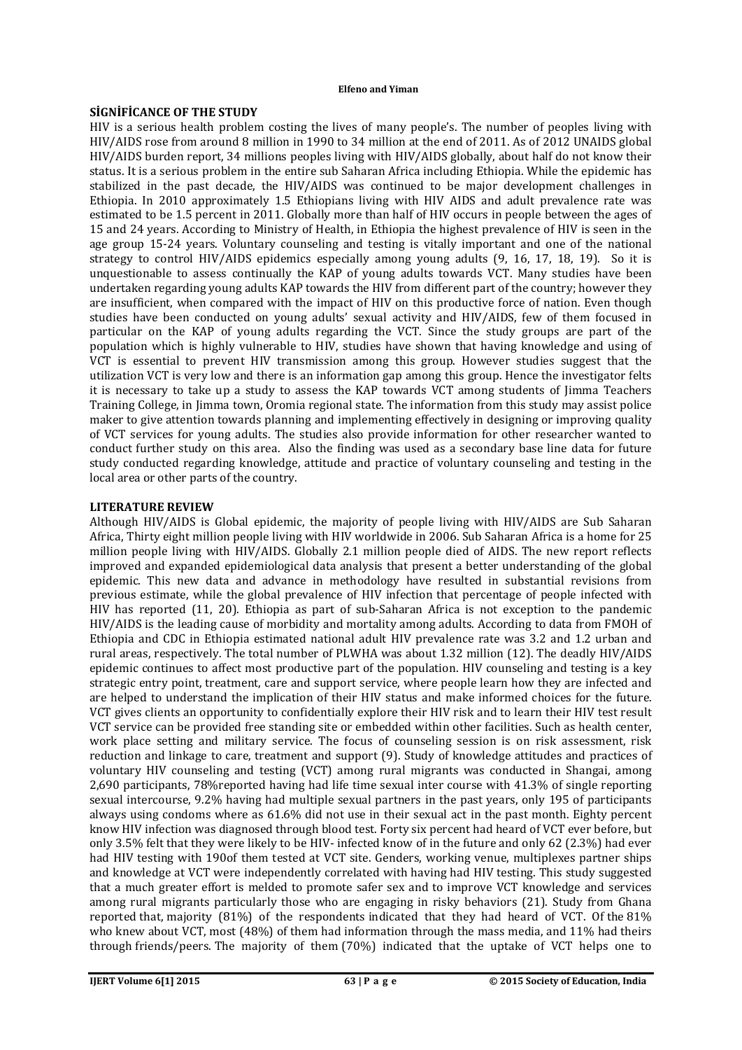#### **SİGNİFİCANCE OF THE STUDY**

HIV is a serious health problem costing the lives of many people's. The number of peoples living with HIV/AIDS rose from around 8 million in 1990 to 34 million at the end of 2011. As of 2012 UNAIDS global HIV/AIDS burden report, 34 millions peoples living with HIV/AIDS globally, about half do not know their status. It is a serious problem in the entire sub Saharan Africa including Ethiopia. While the epidemic has stabilized in the past decade, the HIV/AIDS was continued to be major development challenges in Ethiopia. In 2010 approximately 1.5 Ethiopians living with HIV AIDS and adult prevalence rate was estimated to be 1.5 percent in 2011. Globally more than half of HIV occurs in people between the ages of 15 and 24 years. According to Ministry of Health, in Ethiopia the highest prevalence of HIV is seen in the age group 15-24 years. Voluntary counseling and testing is vitally important and one of the national strategy to control HIV/AIDS epidemics especially among young adults (9, 16, 17, 18, 19). So it is unquestionable to assess continually the KAP of young adults towards VCT. Many studies have been undertaken regarding young adults KAP towards the HIV from different part of the country; however they are insufficient, when compared with the impact of HIV on this productive force of nation. Even though studies have been conducted on young adults' sexual activity and HIV/AIDS, few of them focused in particular on the KAP of young adults regarding the VCT. Since the study groups are part of the population which is highly vulnerable to HIV, studies have shown that having knowledge and using of VCT is essential to prevent HIV transmission among this group. However studies suggest that the utilization VCT is very low and there is an information gap among this group. Hence the investigator felts it is necessary to take up a study to assess the KAP towards VCT among students of Jimma Teachers Training College, in Jimma town, Oromia regional state. The information from this study may assist police maker to give attention towards planning and implementing effectively in designing or improving quality of VCT services for young adults. The studies also provide information for other researcher wanted to conduct further study on this area. Also the finding was used as a secondary base line data for future study conducted regarding knowledge, attitude and practice of voluntary counseling and testing in the local area or other parts of the country.

#### **LITERATURE REVIEW**

Although HIV/AIDS is Global epidemic, the majority of people living with HIV/AIDS are Sub Saharan Africa, Thirty eight million people living with HIV worldwide in 2006. Sub Saharan Africa is a home for 25 million people living with HIV/AIDS. Globally 2.1 million people died of AIDS. The new report reflects improved and expanded epidemiological data analysis that present a better understanding of the global epidemic. This new data and advance in methodology have resulted in substantial revisions from previous estimate, while the global prevalence of HIV infection that percentage of people infected with HIV has reported (11, 20). Ethiopia as part of sub-Saharan Africa is not exception to the pandemic HIV/AIDS is the leading cause of morbidity and mortality among adults. According to data from FMOH of Ethiopia and CDC in Ethiopia estimated national adult HIV prevalence rate was 3.2 and 1.2 urban and rural areas, respectively. The total number of PLWHA was about 1.32 million (12). The deadly HIV/AIDS epidemic continues to affect most productive part of the population. HIV counseling and testing is a key strategic entry point, treatment, care and support service, where people learn how they are infected and are helped to understand the implication of their HIV status and make informed choices for the future. VCT gives clients an opportunity to confidentially explore their HIV risk and to learn their HIV test result VCT service can be provided free standing site or embedded within other facilities. Such as health center, work place setting and military service. The focus of counseling session is on risk assessment, risk reduction and linkage to care, treatment and support (9). Study of knowledge attitudes and practices of voluntary HIV counseling and testing (VCT) among rural migrants was conducted in Shangai, among 2,690 participants, 78%reported having had life time sexual inter course with 41.3% of single reporting sexual intercourse, 9.2% having had multiple sexual partners in the past years, only 195 of participants always using condoms where as 61.6% did not use in their sexual act in the past month. Eighty percent know HIV infection was diagnosed through blood test. Forty six percent had heard of VCT ever before, but only 3.5% felt that they were likely to be HIV- infected know of in the future and only 62 (2.3%) had ever had HIV testing with 190of them tested at VCT site. Genders, working venue, multiplexes partner ships and knowledge at VCT were independently correlated with having had HIV testing. This study suggested that a much greater effort is melded to promote safer sex and to improve VCT knowledge and services among rural migrants particularly those who are engaging in risky behaviors (21). Study from Ghana reported that, majority (81%) of the respondents indicated that they had heard of VCT. Of the 81% who knew about VCT, most (48%) of them had information through the mass media, and 11% had theirs through friends/peers. The majority of them (70%) indicated that the uptake of VCT helps one to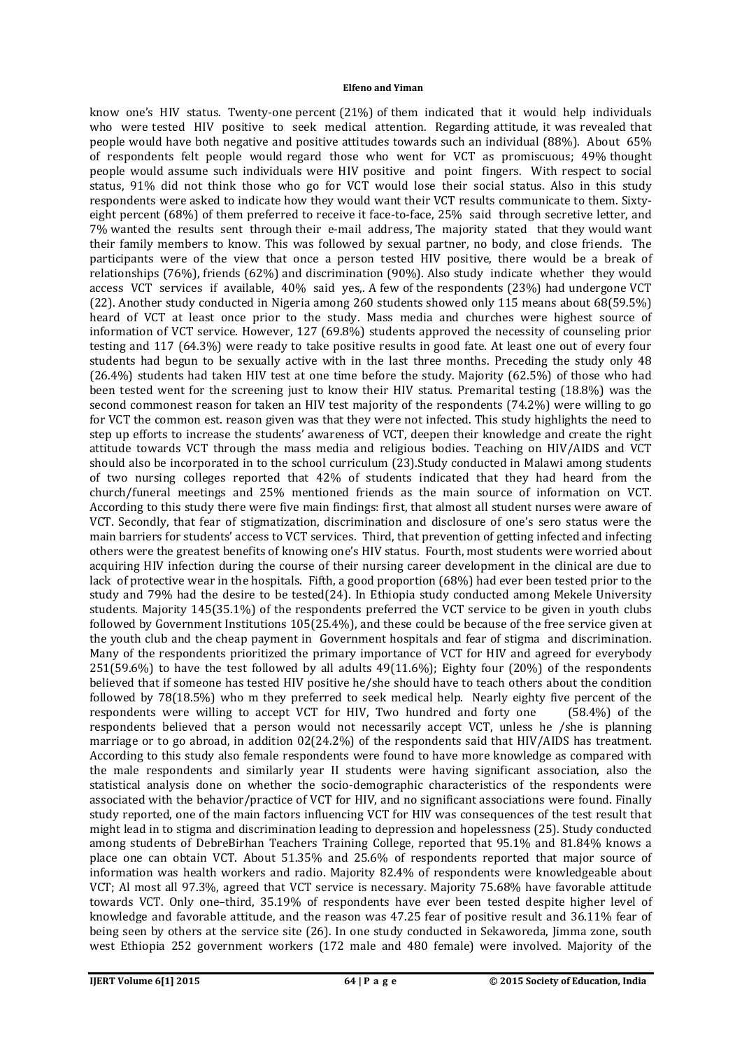know one's HIV status. Twenty-one percent (21%) of them indicated that it would help individuals who were tested HIV positive to seek medical attention. Regarding attitude, it was revealed that people would have both negative and positive attitudes towards such an individual (88%). About 65% of respondents felt people would regard those who went for VCT as promiscuous; 49% thought people would assume such individuals were HIV positive and point fingers. With respect to social status, 91% did not think those who go for VCT would lose their social status. Also in this study respondents were asked to indicate how they would want their VCT results communicate to them. Sixtyeight percent (68%) of them preferred to receive it face-to-face, 25% said through secretive letter, and 7% wanted the results sent through their e-mail address, The majority stated that they would want their family members to know. This was followed by sexual partner, no body, and close friends. The participants were of the view that once a person tested HIV positive, there would be a break of relationships (76%), friends (62%) and discrimination (90%). Also study indicate whether they would access VCT services if available, 40% said yes,. A few of the respondents (23%) had undergone VCT (22). Another study conducted in Nigeria among 260 students showed only 115 means about 68(59.5%) heard of VCT at least once prior to the study. Mass media and churches were highest source of information of VCT service. However, 127 (69.8%) students approved the necessity of counseling prior testing and 117 (64.3%) were ready to take positive results in good fate. At least one out of every four students had begun to be sexually active with in the last three months. Preceding the study only 48 (26.4%) students had taken HIV test at one time before the study. Majority (62.5%) of those who had been tested went for the screening just to know their HIV status. Premarital testing (18.8%) was the second commonest reason for taken an HIV test majority of the respondents (74.2%) were willing to go for VCT the common est. reason given was that they were not infected. This study highlights the need to step up efforts to increase the students' awareness of VCT, deepen their knowledge and create the right attitude towards VCT through the mass media and religious bodies. Teaching on HIV/AIDS and VCT should also be incorporated in to the school curriculum (23).Study conducted in Malawi among students of two nursing colleges reported that 42% of students indicated that they had heard from the church/funeral meetings and 25% mentioned friends as the main source of information on VCT. According to this study there were five main findings: first, that almost all student nurses were aware of VCT. Secondly, that fear of stigmatization, discrimination and disclosure of one's sero status were the main barriers for students' access to VCT services. Third, that prevention of getting infected and infecting others were the greatest benefits of knowing one's HIV status. Fourth, most students were worried about acquiring HIV infection during the course of their nursing career development in the clinical are due to lack of protective wear in the hospitals. Fifth, a good proportion (68%) had ever been tested prior to the study and 79% had the desire to be tested(24). In Ethiopia study conducted among Mekele University students. Majority 145(35.1%) of the respondents preferred the VCT service to be given in youth clubs followed by Government Institutions 105(25.4%), and these could be because of the free service given at the youth club and the cheap payment in Government hospitals and fear of stigma and discrimination. Many of the respondents prioritized the primary importance of VCT for HIV and agreed for everybody 251(59.6%) to have the test followed by all adults 49(11.6%); Eighty four (20%) of the respondents believed that if someone has tested HIV positive he/she should have to teach others about the condition followed by 78(18.5%) who m they preferred to seek medical help. Nearly eighty five percent of the respondents were willing to accept VCT for HIV, Two hundred and forty one (58.4%) of the respondents believed that a person would not necessarily accept VCT, unless he /she is planning marriage or to go abroad, in addition 02(24.2%) of the respondents said that HIV/AIDS has treatment. According to this study also female respondents were found to have more knowledge as compared with the male respondents and similarly year II students were having significant association, also the statistical analysis done on whether the socio-demographic characteristics of the respondents were associated with the behavior/practice of VCT for HIV, and no significant associations were found. Finally study reported, one of the main factors influencing VCT for HIV was consequences of the test result that might lead in to stigma and discrimination leading to depression and hopelessness (25). Study conducted among students of DebreBirhan Teachers Training College, reported that 95.1% and 81.84% knows a place one can obtain VCT. About 51.35% and 25.6% of respondents reported that major source of information was health workers and radio. Majority 82.4% of respondents were knowledgeable about VCT; Al most all 97.3%, agreed that VCT service is necessary. Majority 75.68% have favorable attitude towards VCT. Only one–third, 35.19% of respondents have ever been tested despite higher level of knowledge and favorable attitude, and the reason was 47.25 fear of positive result and 36.11% fear of being seen by others at the service site (26). In one study conducted in Sekaworeda, Jimma zone, south west Ethiopia 252 government workers (172 male and 480 female) were involved. Majority of the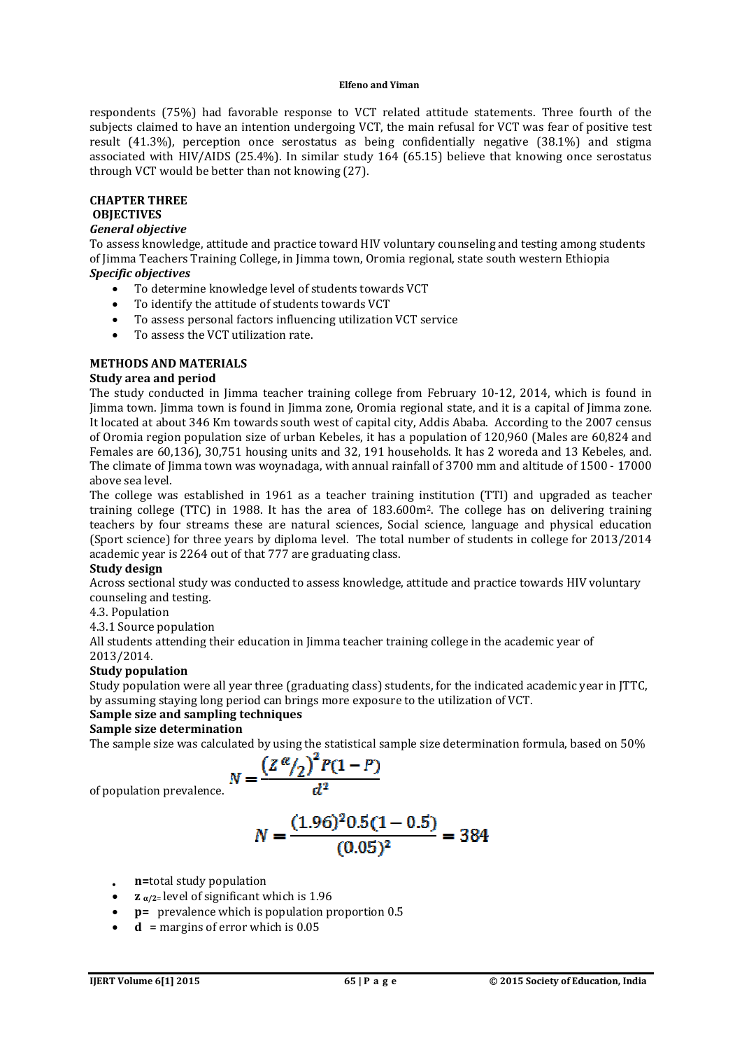respondents (75%) had favorable response to VCT related attitude statements. Three fourth of the subjects claimed to have an intention undergoing VCT, the main refusal for VCT was fear of positive test result (41.3%), perception once serostatus as being confidentially negative (38.1%) and stigma associated with HIV/AIDS (25.4%). In similar study 164 (65.15) believe that knowing once serostatus through VCT would be better than not knowing (27). subjects claimed to have an intention undergoing VCT, the main refusal for VCT was fear of positive test result (41.3%), perception once serostatus as being confidentially regative (38.1%) and stigma<br>through VCT would be b

#### **CHAPTER THREE OBJECTIVES**

## *General objective*

To assess knowledge, attitude and practice toward HIV voluntary counseling and testing among students of Jimma Teachers Training College, in Jimma town, Oromia regional, state south western Ethiopia *Specific objectives* ated with HIV/AIDS (25.4%). In similar study 164 (65.1<br>gh VCT would be better than not knowing (27).<br>**TER THREE**<br>**CTIVES**<br>and objective<br>less knowledge, attitude and practice toward HIV voluntar<br>ma Teachers Training College

- To determine knowledge level of students towards VCT
- To identify the attitude of students towards VCT
- To assess personal factors influencing utilization VCT service
- To assess the VCT utilization rate.

#### **METHODS AND MATERIALS**

#### **Study area and period**

The study conducted in Jimma teacher training college from February 10-12, 2014, which is found in Jimma town. Jimma town is found in Jimma zone, Oromia regional state, and it is a capital of Jimma zone. It located at about 346 Km towards south west of capital city, Addis Ababa. According to the 2007 of Oromia region population size of urban Kebeles, it has a population of 120,960 (Males are 60,824 and Females are 60,136), 30,751 housing units and 32, 191 households. It has 2 woreda and 13 Kebeles, and. The climate of Jimma town was woynadaga, with annual rainfall of 3700 mm and altitude of 1500 above sea level. of Oromia region population size of urban Kebeles, it has a population of 120,960 (Males are 60,824 and<br>Females are 60,136), 30,751 housing units and 32, 191 households. It has 2 woreda and 13 Kebeles, and.<br>The climate of

The college was established in 1961 as a teacher training institution (TTI) and upgraded as teacher training college (TTC) in 1988. It has the area of 183.600m<sup>2</sup>. The college has on delivering training teachers by four streams these are natural sciences, Social science, language and physical education (Sport science) for three years by diploma level. The total number of students in college for 2013/2014 academic year is 2264 out of that 777 are graduating class. The college was established in 1961 as a teacher training institution (TTI) and upgraded<br>traching college (TTC) in 1988. It has the area of 183.600m<sup>2</sup>. The college has on deliverin<br>teachers by four streams these are natur

#### **Study design**

Across sectional study was conducted to assess knowledge, attitude and practice towards HIV voluntary counseling and testing. academic year is 2264 out of that 777 are graduating class.<br> **Study design**<br>
Across sectional study was conducted to assess knowledge, attitude and practice towards HIV v<br>
counseling and testing.<br>
4.3. Population<br>
4.3.1 So

#### 4.3. Population

4.3.1 Source population

2013/2014.

# **Study population**

Study population were all year three (graduating class) students, for the indicated academic year in JTTC, by assuming staying long period can brings more exposure to the utilization of VCT.

# **Sample size and sampling techniques**

# **Sample size determination**

The sample size was calculated by using the statistical sample size determination formula, based on 50%

$$
N=\frac{\left(Z^{\alpha}/2\right)^2 P(1-P)}{d^2}
$$

of population prevalence.

$$
N = \frac{(1.96)^2 0.5(1 - 0.5)}{(0.05)^2} = 384
$$

- **n=**total study population
- **z α/2**= level of significant which is 1.96
- **p=** prevalence which is population proportion 0.5
- $d$  = margins of error which is  $0.05$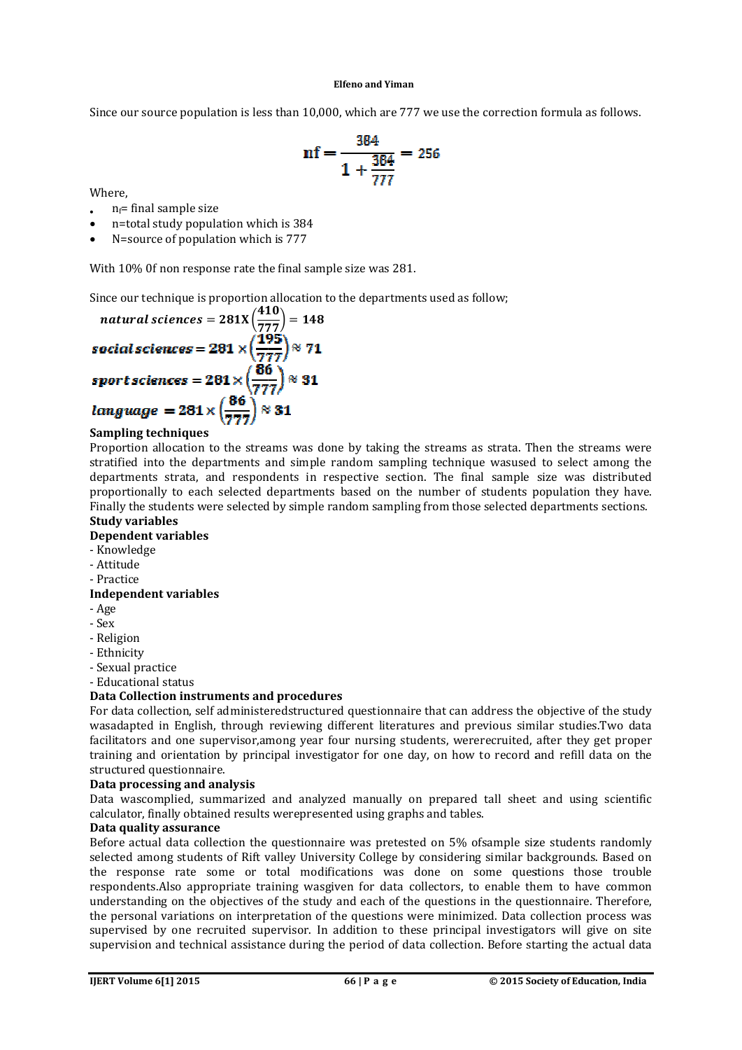Since our source population is less than 10,000, which are 777 we use the correction formula as follows.

$$
nf = \frac{384}{1 + \frac{384}{777}} = 256
$$

Where,

- $n_f$ = final sample size
- n=total study population which is 384
- N=source of population which is 777

With 10% 0f non response rate the final sample size was 281.

Since our technique is proportion allocation to the departments used as follow;

Since our source population is less than 10,000, which are 777 we use the correction formula as follows.  
\n
$$
\mathbf{n}f = \frac{384}{1 + \frac{384}{777}} = 256
$$
\nWhere,  
\n
$$
\mathbf{n}_{\text{ref}} = \frac{1}{1 + \frac{384}{777}} = 256
$$
\nWhere,  
\n
$$
\mathbf{n}_{\text{ref}}
$$
\n
$$
\mathbf{n}_{\text{re}} = \text{final sample size}
$$
\n
$$
\mathbf{n}_{\text{re}} = \text{total study population which is 384}
$$
\n
$$
\mathbf{N}_{\text{re}} = \text{total study population which is 777}
$$
\nWith 10% of non response rate the final sample size was 281.  
\nSince our technique is proportion allocation to the departments used as follow;  
\n
$$
\mathbf{n} \cdot \mathbf{a} \cdot \mathbf{n} \cdot \mathbf{n} \cdot \mathbf{n} \cdot \mathbf{n} \cdot \mathbf{n} \cdot \mathbf{n} \cdot \mathbf{n} \cdot \mathbf{n} \cdot \mathbf{n} \cdot \mathbf{n} \cdot \mathbf{n} \cdot \mathbf{n} \cdot \mathbf{n} \cdot \mathbf{n} \cdot \mathbf{n} \cdot \mathbf{n} \cdot \mathbf{n} \cdot \mathbf{n} \cdot \mathbf{n} \cdot \mathbf{n} \cdot \mathbf{n} \cdot \mathbf{n} \cdot \mathbf{n} \cdot \mathbf{n} \cdot \mathbf{n} \cdot \mathbf{n} \cdot \mathbf{n} \cdot \mathbf{n} \cdot \mathbf{n} \cdot \mathbf{n} \cdot \mathbf{n} \cdot \mathbf{n} \cdot \mathbf{n} \cdot \mathbf{n} \cdot \mathbf{n} \cdot \mathbf{n} \cdot \mathbf{n} \cdot \mathbf{n} \cdot \mathbf{n} \cdot \mathbf{n} \cdot \mathbf{n} \cdot \mathbf{n} \cdot \mathbf{n} \cdot \mathbf{n} \cdot \mathbf{n} \cdot \mathbf{n} \cdot \mathbf{n} \cdot \mathbf{n} \cdot \mathbf{n} \cdot \mathbf{n} \cdot \mathbf{n} \cdot \mathbf{n} \cdot \mathbf{n} \cdot \mathbf{n} \cdot \mathbf{n} \cdot \mathbf{n} \cdot \mathbf{n} \cdot \mathbf{n} \cdot \mathbf{n} \cdot \mathbf{n} \cdot \mathbf{n} \cdot \mathbf{n} \cdot \mathbf{n} \cdot \mathbf{n} \cdot \mathbf{n} \cdot \mathbf{n} \cdot \mathbf{n} \cdot \mathbf
$$

#### **Sampling techniques**

Proportion allocation to the streams was done by taking the streams as strata. Then the streams were stratified into the departments and simple random sampling technique wasused to select among the departments strata, and respondents in respective section. The final sample size was distributed proportionally to each selected departments based on the number of students population they have. Finally the students were selected by simple random sampling from those selected departments sections.

# **Study variables**

# **Dependent variables**

- Knowledge
- Attitude
- Practice

# **Independent variables**

- Age
- Sex
- Religion
- Ethnicity
- Sexual practice
- Educational status

# **Data Collection instruments and procedures**

For data collection, self administeredstructured questionnaire that can address the objective of the study wasadapted in English, through reviewing different literatures and previous similar studies.Two data facilitators and one supervisor,among year four nursing students, wererecruited, after they get proper training and orientation by principal investigator for one day, on how to record and refill data on the structured questionnaire. nts were selected<br> **ables**<br> **ables**<br> **ables**<br> **complements and<br>
on, self administer<br>
English, through r<br>
one supervisor, an<br>
entation by princi<br>
<b>ionnaire.**<br> **g and analysis**<br>
ed, summarized

# **Data processing and analysis**

Data wascomplied, summarized and analyzed manually on prepared tall sheet and using scientific calculator, finally obtained results werepresented using graphs and tables.

# **Data quality assurance**

Before actual data collection the questionnaire was pretested on 5% ofsample size students randomly selected among students of Rift valley University College by considering similar backgrounds. Based on the response rate some or total modifications was done on some questions those trouble respondents. Also appropriate training wasgiven for data collectors, to enable them to have common understanding on the objectives of the study and each of the questions in the questionnaire. Therefore, the personal variations on interpretation of the questions were minimized. Data collection proce supervised by one recruited supervisor. In addition to these principal investigators will give on site supervised by one recruited supervisor. In addition to these principal investigators will give on site<br>supervision and technical assistance during the period of data collection. Before starting the actual data in section. The filmal sample size was distributed to refilm a sample in respective section. The filmal sample investigator of studients were selected by simple random sampling from those selected departments sections.<br> **r**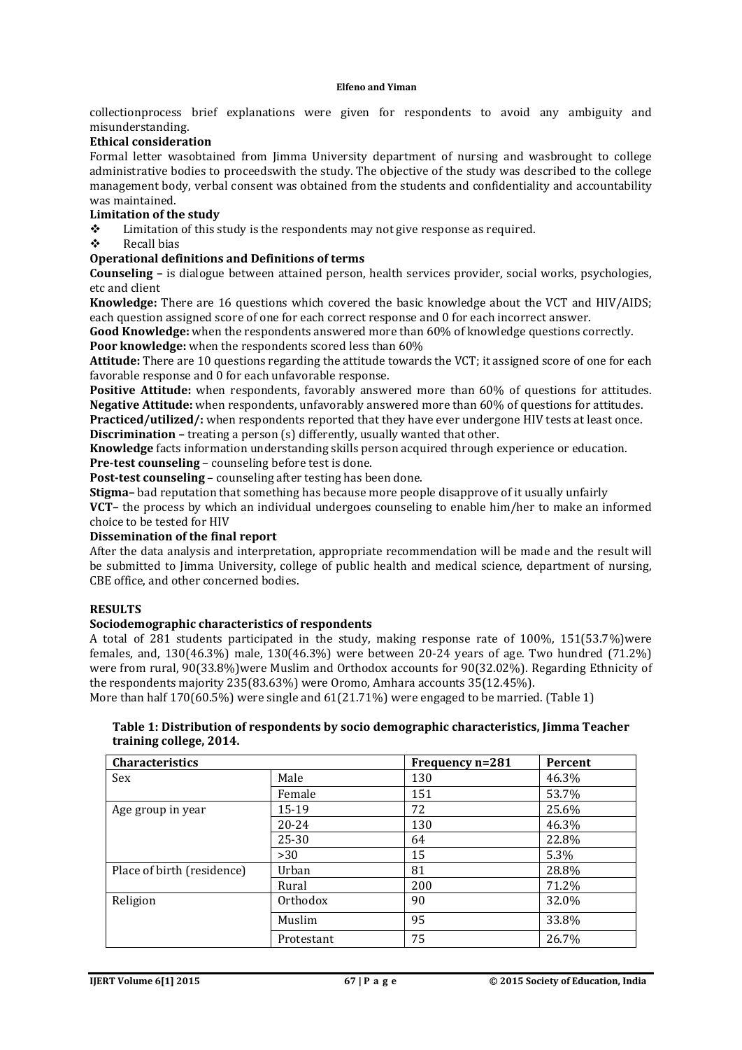collectionprocess brief explanations were given for respondents to avoid any ambiguity and misunderstanding.

## **Ethical consideration**

Formal letter wasobtained from Jimma University department of nursing and wasbrought to college administrative bodies to proceedswith the study. The objective of the study was described to the college management body, verbal consent was obtained from the students and confidentiality and accountability was maintained.

# **Limitation of the study**<br> **A** Limitation of this s

- Limitation of this study is the respondents may not give response as required.
- $\div$  Recall bias

#### **Operational definitions and Definitions of terms**

**Counseling –** is dialogue between attained person, health services provider, social works, psychologies, etc and client

**Knowledge:** There are 16 questions which covered the basic knowledge about the VCT and HIV/AIDS; each question assigned score of one for each correct response and 0 for each incorrect answer.

**Good Knowledge:** when the respondents answered more than 60% of knowledge questions correctly. **Poor knowledge:** when the respondents scored less than 60%

**Attitude:** There are 10 questions regarding the attitude towards the VCT; it assigned score of one for each favorable response and 0 for each unfavorable response.

**Positive Attitude:** when respondents, favorably answered more than 60% of questions for attitudes. **Negative Attitude:** when respondents, unfavorably answered more than 60% of questions for attitudes. **Practiced/utilized/:** when respondents reported that they have ever undergone HIV tests at least once.

**Discrimination –** treating a person (s) differently, usually wanted that other.

**Knowledge** facts information understanding skills person acquired through experience or education. **Pre-test counseling** – counseling before test is done.

**Post-test counseling** – counseling after testing has been done.

**Stigma–** bad reputation that something has because more people disapprove of it usually unfairly

**VCT–** the process by which an individual undergoes counseling to enable him/her to make an informed choice to be tested for HIV

#### **Dissemination of the final report**

After the data analysis and interpretation, appropriate recommendation will be made and the result will be submitted to Jimma University, college of public health and medical science, department of nursing, CBE office, and other concerned bodies.

#### **RESULTS**

#### **Sociodemographic characteristics of respondents**

A total of 281 students participated in the study, making response rate of 100%, 151(53.7%)were females, and, 130(46.3%) male, 130(46.3%) were between 20-24 years of age. Two hundred (71.2%) were from rural, 90(33.8%)were Muslim and Orthodox accounts for 90(32.02%). Regarding Ethnicity of the respondents majority 235(83.63%) were Oromo, Amhara accounts 35(12.45%).

More than half 170(60.5%) were single and 61(21.71%) were engaged to be married. (Table 1)

#### **Table 1: Distribution of respondents by socio demographic characteristics, Jimma Teacher training college, 2014.**

| <b>Characteristics</b>     |            | Frequency n=281 | Percent |
|----------------------------|------------|-----------------|---------|
| Sex                        | Male       | 130             | 46.3%   |
|                            | Female     | 151             | 53.7%   |
| Age group in year          | 15-19      | 72              | 25.6%   |
|                            | $20 - 24$  | 130             | 46.3%   |
|                            | $25 - 30$  | 64              | 22.8%   |
|                            | >30        | 15              | 5.3%    |
| Place of birth (residence) | Urban      | 81              | 28.8%   |
|                            | Rural      | 200             | 71.2%   |
| Religion                   | Orthodox   | 90              | 32.0%   |
|                            | Muslim     | 95              | 33.8%   |
|                            | Protestant | 75              | 26.7%   |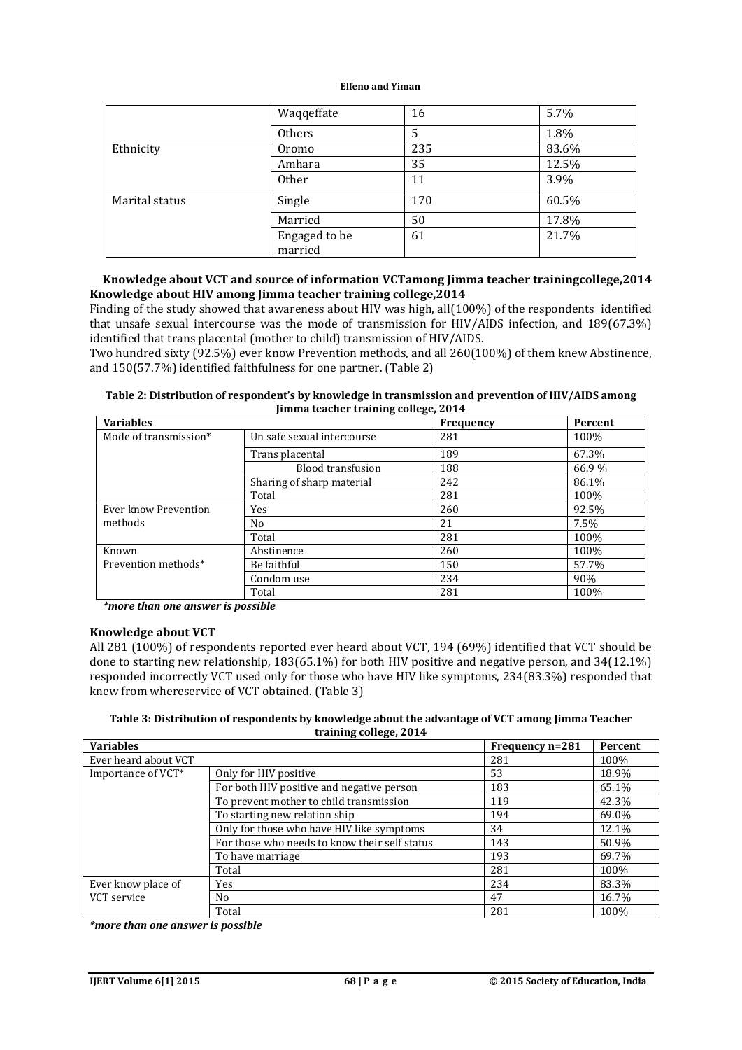|                | Waqqeffate               | 16  | 5.7%  |
|----------------|--------------------------|-----|-------|
|                | Others                   | 5   | 1.8%  |
| Ethnicity      | Oromo                    | 235 | 83.6% |
|                | Amhara                   | 35  | 12.5% |
|                | <b>Other</b>             | 11  | 3.9%  |
| Marital status | Single                   | 170 | 60.5% |
|                | Married                  | 50  | 17.8% |
|                | Engaged to be<br>married | 61  | 21.7% |

#### **Knowledge about VCT and source of information VCTamong Jimma teacher trainingcollege,2014 Knowledge about HIV among Jimma teacher training college,2014**

Finding of the study showed that awareness about HIV was high, all(100%) of the respondents identified that unsafe sexual intercourse was the mode of transmission for HIV/AIDS infection, and 189(67.3%) identified that trans placental (mother to child) transmission of HIV/AIDS.

Two hundred sixty (92.5%) ever know Prevention methods, and all 260(100%) of them knew Abstinence, and 150(57.7%) identified faithfulness for one partner. (Table 2)

| Table 2: Distribution of respondent's by knowledge in transmission and prevention of HIV/AIDS among |  |
|-----------------------------------------------------------------------------------------------------|--|
| Jimma teacher training college, 2014                                                                |  |

| <b>Variables</b>      |                            | Frequency | Percent |
|-----------------------|----------------------------|-----------|---------|
| Mode of transmission* | Un safe sexual intercourse | 281       | 100%    |
|                       | Trans placental            | 189       | 67.3%   |
|                       | <b>Blood transfusion</b>   | 188       | 66.9%   |
|                       | Sharing of sharp material  | 242       | 86.1%   |
|                       | Total                      | 281       | 100%    |
| Ever know Prevention  | Yes                        | 260       | 92.5%   |
| methods               | No                         | 21        | 7.5%    |
|                       | Total                      | 281       | 100%    |
| Known                 | Abstinence                 | 260       | 100%    |
| Prevention methods*   | Be faithful                | 150       | 57.7%   |
|                       | Condom use                 | 234       | 90%     |
|                       | Total                      | 281       | 100%    |

*\*more than one answer is possible*

#### **Knowledge about VCT**

All 281 (100%) of respondents reported ever heard about VCT, 194 (69%) identified that VCT should be done to starting new relationship, 183(65.1%) for both HIV positive and negative person, and 34(12.1%) responded incorrectly VCT used only for those who have HIV like symptoms, 234(83.3%) responded that knew from whereservice of VCT obtained. (Table 3)

**Table 3: Distribution of respondents by knowledge about the advantage of VCT among Jimma Teacher training college, 2014**

| <b>Variables</b>     |                                               | Frequency n=281 | Percent |
|----------------------|-----------------------------------------------|-----------------|---------|
| Ever heard about VCT |                                               | 281             | 100%    |
| Importance of VCT*   | Only for HIV positive                         | 53              | 18.9%   |
|                      | For both HIV positive and negative person     | 183             | 65.1%   |
|                      | To prevent mother to child transmission       | 119             | 42.3%   |
|                      | To starting new relation ship                 | 194             | 69.0%   |
|                      | Only for those who have HIV like symptoms     | 34              | 12.1%   |
|                      | For those who needs to know their self status | 143             | 50.9%   |
|                      | To have marriage                              | 193             | 69.7%   |
|                      | Total                                         | 281             | 100%    |
| Ever know place of   | Yes                                           | 234             | 83.3%   |
| VCT service          | No.                                           | 47              | 16.7%   |
|                      | Total                                         | 281             | 100%    |

*\*more than one answer is possible*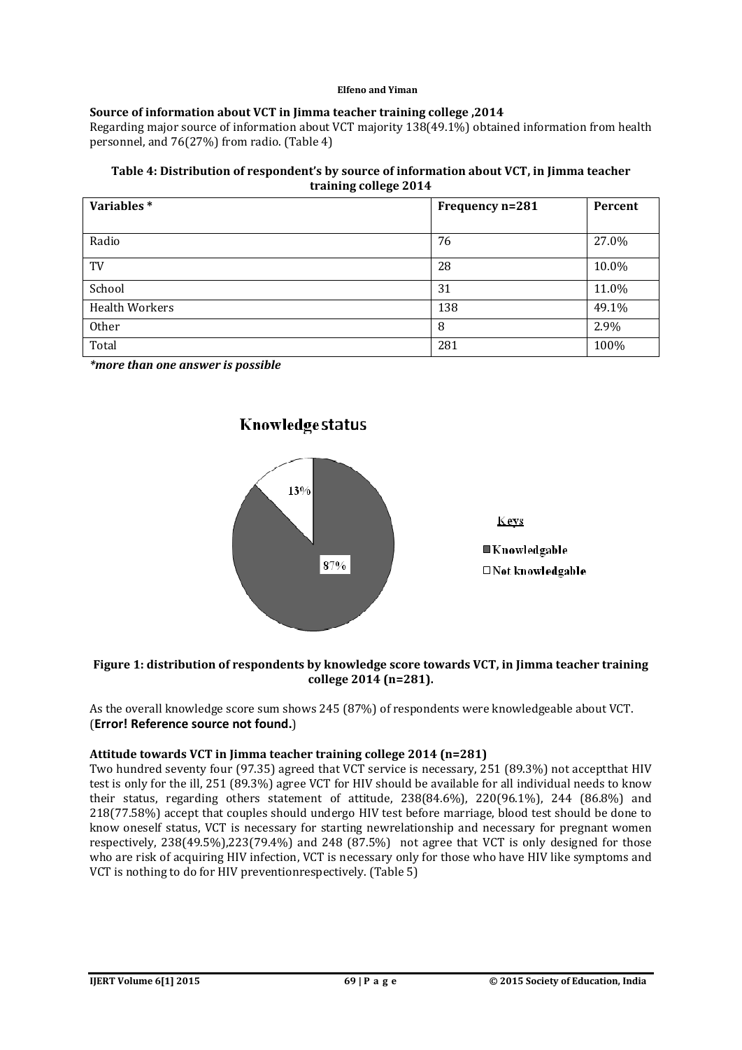# **Source of information about VCT in Jimma teacher training college ,2014**

Regarding major source of information about VCT majority 138(49.1%) obtained information from health personnel, and 76(27%) from radio. (Table 4)

#### **Table 4: Distribution of respondent's by source of information about VCT, in Jimma teacher training college 2014**

| Variables*            | Frequency n=281 | Percent |
|-----------------------|-----------------|---------|
|                       |                 |         |
| Radio                 | 76              | 27.0%   |
| TV                    | 28              | 10.0%   |
| School                | 31              | 11.0%   |
| <b>Health Workers</b> | 138             | 49.1%   |
| Other                 | 8               | 2.9%    |
| Total                 | 281             | 100%    |

*\*more than one answer is possible*



#### **Figure 1: distribution of respondents by knowledge score towards VCT, in Jimma teacher training college 2014 (n=281).**

As the overall knowledge score sum shows 245 (87%) of respondents were knowledgeable about VCT. (**Error! Reference source not found.**)

# **Attitude towards VCT in Jimma teacher training college 2014 (n=281)**

Two hundred seventy four (97.35) agreed that VCT service is necessary, 251 (89.3%) not acceptthat HIV test is only for the ill, 251 (89.3%) agree VCT for HIV should be available for all individual needs to know their status, regarding others statement of attitude, 238(84.6%), 220(96.1%), 244 (86.8%) and 218(77.58%) accept that couples should undergo HIV test before marriage, blood test should be done to know oneself status, VCT is necessary for starting newrelationship and necessary for pregnant women respectively, 238(49.5%),223(79.4%) and 248 (87.5%) not agree that VCT is only designed for those who are risk of acquiring HIV infection, VCT is necessary only for those who have HIV like symptoms and VCT is nothing to do for HIV preventionrespectively. (Table 5)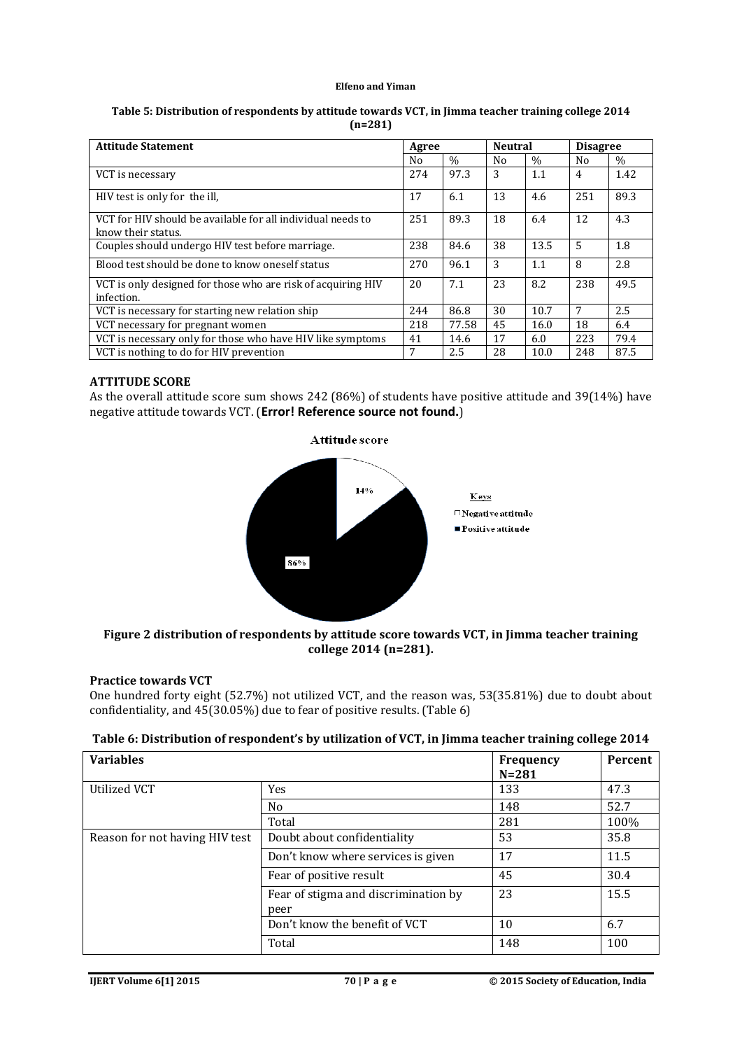| Table 5: Distribution of respondents by attitude towards VCT, in Jimma teacher training college 2014 |
|------------------------------------------------------------------------------------------------------|
| $(n=281)$                                                                                            |

| <b>Attitude Statement</b>                                                         | Agree |       | <b>Neutral</b> |               | <b>Disagree</b> |      |
|-----------------------------------------------------------------------------------|-------|-------|----------------|---------------|-----------------|------|
|                                                                                   | No    | $\%$  | N <sub>0</sub> | $\frac{0}{0}$ | No.             | $\%$ |
| VCT is necessary                                                                  | 274   | 97.3  | 3              | 1.1           | 4               | 1.42 |
| HIV test is only for the ill.                                                     | 17    | 6.1   | 13             | 4.6           | 251             | 89.3 |
| VCT for HIV should be available for all individual needs to<br>know their status. | 251   | 89.3  | 18             | 6.4           | 12              | 4.3  |
| Couples should undergo HIV test before marriage.                                  | 238   | 84.6  | 38             | 13.5          | 5               | 1.8  |
| Blood test should be done to know oneself status                                  | 270   | 96.1  | 3              | 1.1           | 8               | 2.8  |
| VCT is only designed for those who are risk of acquiring HIV<br>infection.        | 20    | 7.1   | 23             | 8.2           | 238             | 49.5 |
| VCT is necessary for starting new relation ship                                   | 244   | 86.8  | 30             | 10.7          | 7               | 2.5  |
| VCT necessary for pregnant women                                                  | 218   | 77.58 | 45             | 16.0          | 18              | 6.4  |
| VCT is necessary only for those who have HIV like symptoms                        | 41    | 14.6  | 17             | 6.0           | 223             | 79.4 |
| VCT is nothing to do for HIV prevention                                           | 7     | 2.5   | 28             | 10.0          | 248             | 87.5 |

#### **ATTITUDE SCORE**

As the overall attitude score sum shows 242 (86%) of students have positive attitude and 39(14%) have negative attitude towards VCT. (**Error! Reference source not found.**)

![](_page_9_Figure_5.jpeg)

**Figure 2 distribution of respondents by attitude score towards VCT, in Jimma teacher training college 2014 (n=281).**

# **Practice towards VCT**

One hundred forty eight (52.7%) not utilized VCT, and the reason was, 53(35.81%) due to doubt about confidentiality, and 45(30.05%) due to fear of positive results. (Table 6)

| Table 6: Distribution of respondent's by utilization of VCT, in Jimma teacher training college 2014 |  |
|-----------------------------------------------------------------------------------------------------|--|
|-----------------------------------------------------------------------------------------------------|--|

| <b>Variables</b>               |                                              | <b>Frequency</b><br>$N = 281$ | Percent |
|--------------------------------|----------------------------------------------|-------------------------------|---------|
| Utilized VCT                   | Yes                                          | 133                           | 47.3    |
|                                | N <sub>0</sub>                               | 148                           | 52.7    |
|                                | Total                                        | 281                           | 100%    |
| Reason for not having HIV test | Doubt about confidentiality                  | 53                            | 35.8    |
|                                | Don't know where services is given           | 17                            | 11.5    |
|                                | Fear of positive result                      | 45                            | 30.4    |
|                                | Fear of stigma and discrimination by<br>peer | 23                            | 15.5    |
|                                | Don't know the benefit of VCT                | 10                            | 6.7     |
|                                | Total                                        | 148                           | 100     |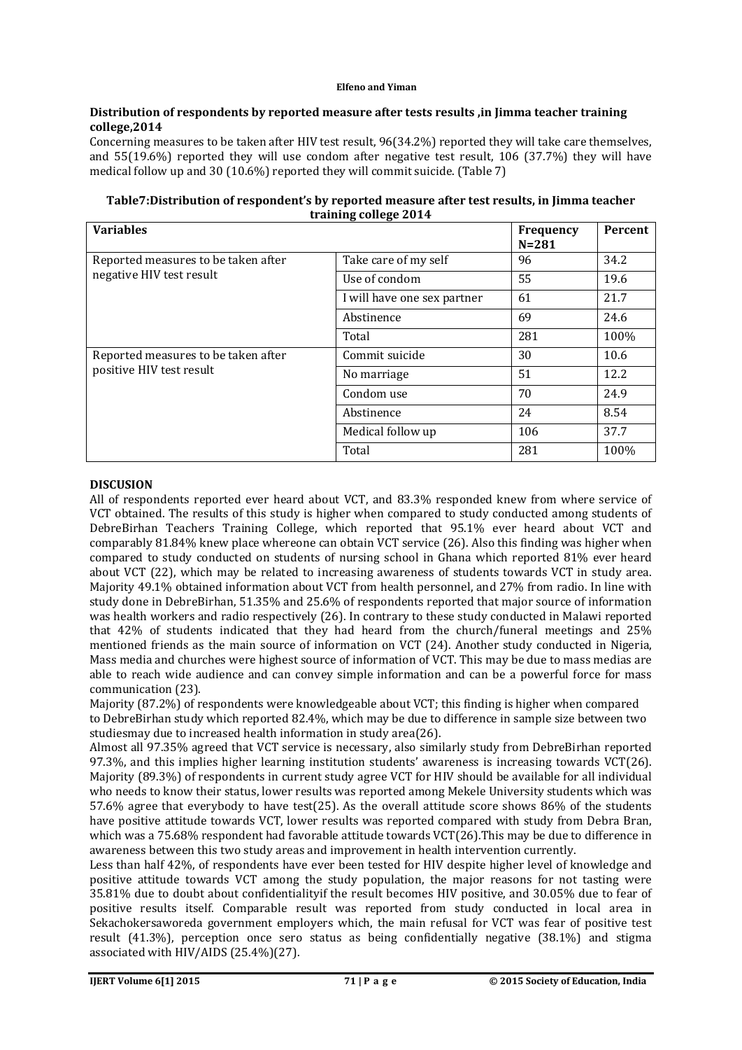#### **Distribution of respondents by reported measure after tests results ,in Jimma teacher training college,2014**

Concerning measures to be taken after HIV test result, 96(34.2%) reported they will take care themselves, and 55(19.6%) reported they will use condom after negative test result, 106 (37.7%) they will have medical follow up and 30 (10.6%) reported they will commit suicide. (Table 7)

| training college 2014                                                                        |  |  |  |  |
|----------------------------------------------------------------------------------------------|--|--|--|--|
| Table7:Distribution of respondent's by reported measure after test results, in Jimma teacher |  |  |  |  |

| <b>Variables</b>                                                |                             | <b>Frequency</b><br>$N = 281$ | Percent |
|-----------------------------------------------------------------|-----------------------------|-------------------------------|---------|
| Reported measures to be taken after<br>negative HIV test result | Take care of my self        | 96                            | 34.2    |
|                                                                 | Use of condom               | 55                            | 19.6    |
|                                                                 | I will have one sex partner | 61                            | 21.7    |
|                                                                 | Abstinence                  | 69                            | 24.6    |
|                                                                 | Total                       | 281                           | 100%    |
| Reported measures to be taken after                             | Commit suicide              | 30                            | 10.6    |
| positive HIV test result                                        | No marriage                 | 51                            | 12.2    |
|                                                                 | Condom use                  | 70                            | 24.9    |
|                                                                 | Abstinence                  | 24                            | 8.54    |
|                                                                 | Medical follow up           | 106                           | 37.7    |
|                                                                 | Total                       | 281                           | 100%    |

# **DISCUSION**

All of respondents reported ever heard about VCT, and 83.3% responded knew from where service of VCT obtained. The results of this study is higher when compared to study conducted among students of DebreBirhan Teachers Training College, which reported that 95.1% ever heard about VCT and comparably 81.84% knew place whereone can obtain VCT service (26). Also this finding was higher when compared to study conducted on students of nursing school in Ghana which reported 81% ever heard about VCT (22), which may be related to increasing awareness of students towards VCT in study area. Majority 49.1% obtained information about VCT from health personnel, and 27% from radio. In line with study done in DebreBirhan, 51.35% and 25.6% of respondents reported that major source of information was health workers and radio respectively (26). In contrary to these study conducted in Malawi reported that 42% of students indicated that they had heard from the church/funeral meetings and 25% mentioned friends as the main source of information on VCT (24). Another study conducted in Nigeria, Mass media and churches were highest source of information of VCT. This may be due to mass medias are able to reach wide audience and can convey simple information and can be a powerful force for mass communication (23).

Majority (87.2%) of respondents were knowledgeable about VCT; this finding is higher when compared to DebreBirhan study which reported 82.4%, which may be due to difference in sample size between two studiesmay due to increased health information in study area(26).

Almost all 97.35% agreed that VCT service is necessary, also similarly study from DebreBirhan reported 97.3%, and this implies higher learning institution students' awareness is increasing towards VCT(26). Majority (89.3%) of respondents in current study agree VCT for HIV should be available for all individual who needs to know their status, lower results was reported among Mekele University students which was 57.6% agree that everybody to have test(25). As the overall attitude score shows 86% of the students have positive attitude towards VCT, lower results was reported compared with study from Debra Bran, which was a 75.68% respondent had favorable attitude towards VCT(26).This may be due to difference in awareness between this two study areas and improvement in health intervention currently.

Less than half 42%, of respondents have ever been tested for HIV despite higher level of knowledge and positive attitude towards VCT among the study population, the major reasons for not tasting were 35.81% due to doubt about confidentialityif the result becomes HIV positive, and 30.05% due to fear of positive results itself. Comparable result was reported from study conducted in local area in Sekachokersaworeda government employers which, the main refusal for VCT was fear of positive test result (41.3%), perception once sero status as being confidentially negative (38.1%) and stigma associated with HIV/AIDS (25.4%)(27).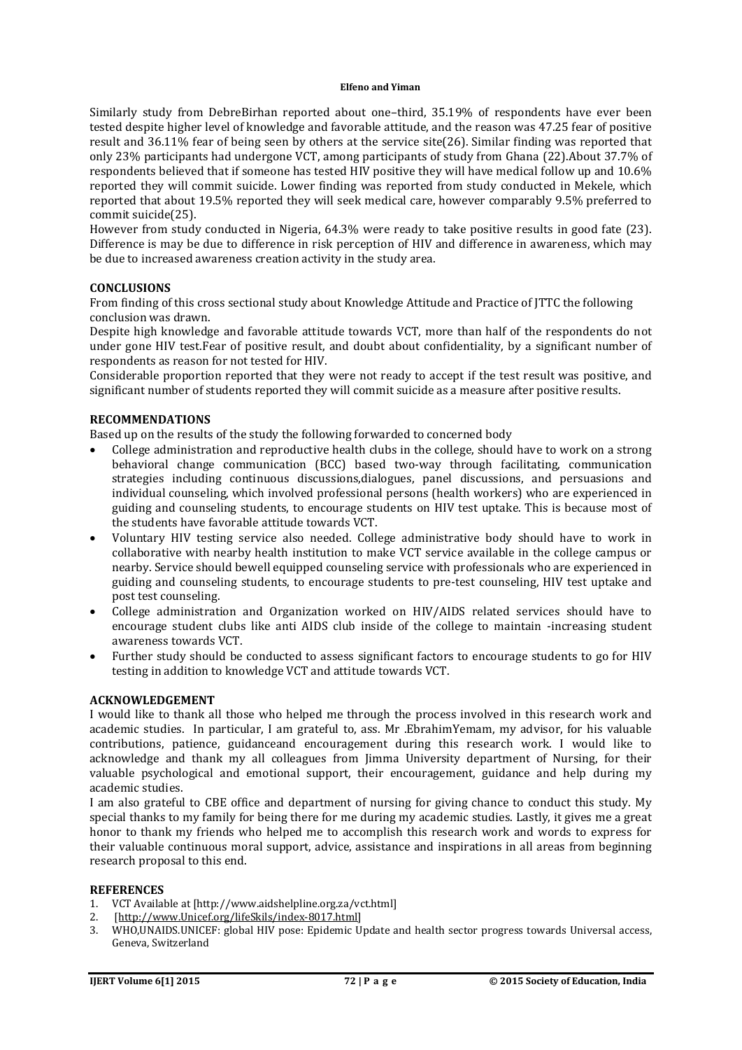Similarly study from DebreBirhan reported about one–third, 35.19% of respondents have ever been tested despite higher level of knowledge and favorable attitude, and the reason was 47.25 fear of positive result and 36.11% fear of being seen by others at the service site(26). Similar finding was reported that only 23% participants had undergone VCT, among participants of study from Ghana (22).About 37.7% of respondents believed that if someone has tested HIV positive they will have medical follow up and 10.6% reported they will commit suicide. Lower finding was reported from study conducted in Mekele, which reported that about 19.5% reported they will seek medical care, however comparably 9.5% preferred to commit suicide(25).

However from study conducted in Nigeria, 64.3% were ready to take positive results in good fate (23). Difference is may be due to difference in risk perception of HIV and difference in awareness, which may be due to increased awareness creation activity in the study area.

#### **CONCLUSIONS**

From finding of this cross sectional study about Knowledge Attitude and Practice of JTTC the following conclusion was drawn.

Despite high knowledge and favorable attitude towards VCT, more than half of the respondents do not under gone HIV test.Fear of positive result, and doubt about confidentiality, by a significant number of respondents as reason for not tested for HIV.

Considerable proportion reported that they were not ready to accept if the test result was positive, and significant number of students reported they will commit suicide as a measure after positive results.

#### **RECOMMENDATIONS**

Based up on the results of the study the following forwarded to concerned body

- College administration and reproductive health clubs in the college, should have to work on a strong behavioral change communication (BCC) based two-way through facilitating, communication strategies including continuous discussions,dialogues, panel discussions, and persuasions and individual counseling, which involved professional persons (health workers) who are experienced in guiding and counseling students, to encourage students on HIV test uptake. This is because most of the students have favorable attitude towards VCT.
- Voluntary HIV testing service also needed. College administrative body should have to work in collaborative with nearby health institution to make VCT service available in the college campus or nearby. Service should bewell equipped counseling service with professionals who are experienced in guiding and counseling students, to encourage students to pre-test counseling, HIV test uptake and post test counseling.
- College administration and Organization worked on HIV/AIDS related services should have to encourage student clubs like anti AIDS club inside of the college to maintain -increasing student awareness towards VCT.
- Further study should be conducted to assess significant factors to encourage students to go for HIV testing in addition to knowledge VCT and attitude towards VCT.

#### **ACKNOWLEDGEMENT**

I would like to thank all those who helped me through the process involved in this research work and academic studies. In particular, I am grateful to, ass. Mr .EbrahimYemam, my advisor, for his valuable contributions, patience, guidanceand encouragement during this research work. I would like to acknowledge and thank my all colleagues from Jimma University department of Nursing, for their valuable psychological and emotional support, their encouragement, guidance and help during my academic studies.

I am also grateful to CBE office and department of nursing for giving chance to conduct this study. My special thanks to my family for being there for me during my academic studies. Lastly, it gives me a great honor to thank my friends who helped me to accomplish this research work and words to express for their valuable continuous moral support, advice, assistance and inspirations in all areas from beginning research proposal to this end.

#### **REFERENCES**

- 1. VCT Available at [http://www.aidshelpline.org.za/vct.html]
- 2. [http://www.Unicef.org/lifeSkils/index-8017.html]
- 3. WHO,UNAIDS.UNICEF: global HIV pose: Epidemic Update and health sector progress towards Universal access, Geneva, Switzerland